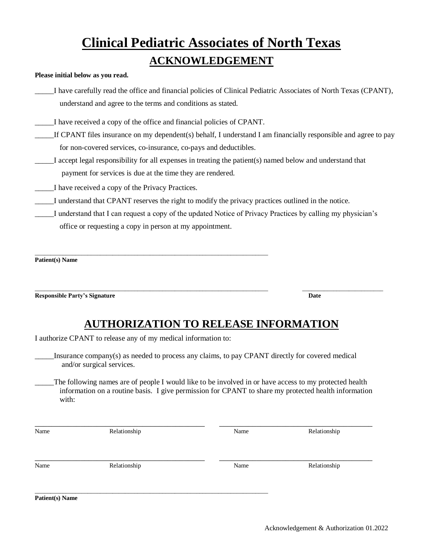## **Clinical Pediatric Associates of North Texas ACKNOWLEDGEMENT**

## **Please initial below as you read.**

\_\_\_\_\_I have carefully read the office and financial policies of Clinical Pediatric Associates of North Texas (CPANT), understand and agree to the terms and conditions as stated.

\_\_\_\_\_I have received a copy of the office and financial policies of CPANT.

\_\_\_\_\_\_\_\_\_\_\_\_\_\_\_\_\_\_\_\_\_\_\_\_\_\_\_\_\_\_\_\_\_\_\_\_\_\_\_\_\_\_\_\_\_\_\_\_\_\_\_\_\_\_\_\_\_\_\_\_\_\_\_\_\_\_\_\_\_\_\_\_\_\_\_

- If CPANT files insurance on my dependent(s) behalf, I understand I am financially responsible and agree to pay for non-covered services, co-insurance, co-pays and deductibles.
- \_\_\_\_\_I accept legal responsibility for all expenses in treating the patient(s) named below and understand that payment for services is due at the time they are rendered.
- \_\_\_\_\_I have received a copy of the Privacy Practices.
- \_\_\_\_\_I understand that CPANT reserves the right to modify the privacy practices outlined in the notice.
- \_\_\_\_\_I understand that I can request a copy of the updated Notice of Privacy Practices by calling my physician's office or requesting a copy in person at my appointment.

**Patient(s) Name**

**Responsible Party's Signature Date**

## **AUTHORIZATION TO RELEASE INFORMATION**

\_\_\_\_\_\_\_\_\_\_\_\_\_\_\_\_\_\_\_\_\_\_\_\_\_\_\_\_\_\_\_\_\_\_\_\_\_\_\_\_\_\_\_\_\_\_\_\_\_\_\_\_\_\_\_\_\_\_\_\_\_\_\_\_\_\_\_\_\_\_\_\_\_\_\_ \_\_\_\_\_\_\_\_\_\_\_\_\_\_\_\_\_\_\_\_\_\_\_\_\_\_

I authorize CPANT to release any of my medical information to:

\_\_\_\_\_Insurance company(s) as needed to process any claims, to pay CPANT directly for covered medical and/or surgical services.

\_\_\_\_\_The following names are of people I would like to be involved in or have access to my protected health information on a routine basis. I give permission for CPANT to share my protected health information with:

| Name | Relationship | Name | Relationship |
|------|--------------|------|--------------|
| Name | Relationship | Name | Relationship |
|      |              |      |              |

**Patient(s) Name**